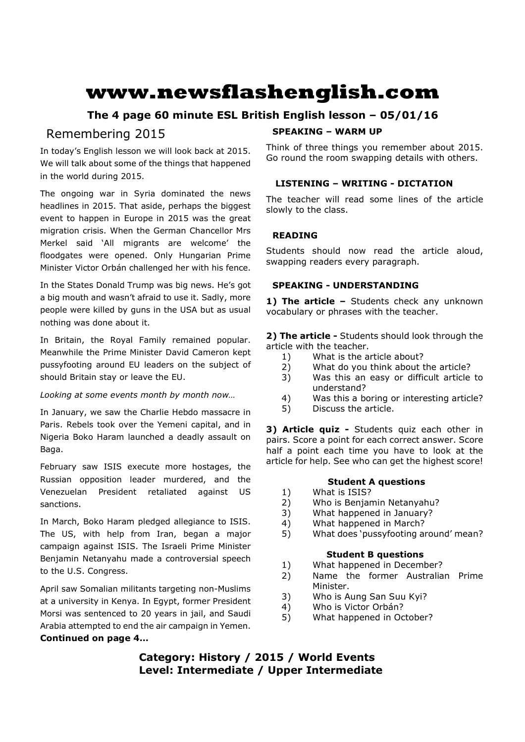# **www.newsflashenglish.com**

# **The 4 page 60 minute ESL British English lesson – 05/01/16**

# Remembering 2015

In today's English lesson we will look back at 2015. We will talk about some of the things that happened in the world during 2015.

The ongoing war in Syria dominated the news headlines in 2015. That aside, perhaps the biggest event to happen in Europe in 2015 was the great migration crisis. When the German Chancellor Mrs Merkel said 'All migrants are welcome' the floodgates were opened. Only Hungarian Prime Minister Victor Orbán challenged her with his fence.

In the States Donald Trump was big news. He's got a big mouth and wasn't afraid to use it. Sadly, more people were killed by guns in the USA but as usual nothing was done about it.

In Britain, the Royal Family remained popular. Meanwhile the Prime Minister David Cameron kept pussyfooting around EU leaders on the subject of should Britain stay or leave the EU.

# *Looking at some events month by month now…*

In January, we saw the Charlie Hebdo massacre in Paris. Rebels took over the Yemeni capital, and in Nigeria Boko Haram launched a deadly assault on Baga.

February saw ISIS execute more hostages, the Russian opposition leader murdered, and the Venezuelan President retaliated against US sanctions.

In March, Boko Haram pledged allegiance to ISIS. The US, with help from Iran, began a major campaign against ISIS. The Israeli Prime Minister Benjamin Netanyahu made a controversial speech to the U.S. Congress.

April saw Somalian militants targeting non-Muslims at a university in Kenya. In Egypt, former President Morsi was sentenced to 20 years in jail, and Saudi Arabia attempted to end the air campaign in Yemen. **Continued on page 4…**

# **SPEAKING – WARM UP**

Think of three things you remember about 2015. Go round the room swapping details with others.

# **LISTENING – WRITING - DICTATION**

The teacher will read some lines of the article slowly to the class.

# **READING**

Students should now read the article aloud, swapping readers every paragraph.

# **SPEAKING - UNDERSTANDING**

**1) The article –** Students check any unknown vocabulary or phrases with the teacher.

**2) The article -** Students should look through the article with the teacher.

- 1) What is the article about?
- 2) What do you think about the article?
- 3) Was this an easy or difficult article to understand?
- 4) Was this a boring or interesting article?
- 5) Discuss the article.

**3) Article quiz -** Students quiz each other in pairs. Score a point for each correct answer. Score half a point each time you have to look at the article for help. See who can get the highest score!

# **Student A questions**

- 1) What is ISIS?
- 2) Who is Benjamin Netanyahu?
- 3) What happened in January?
- 4) What happened in March?
- 5) What does 'pussyfooting around' mean?

# **Student B questions**

- 1) What happened in December?
- 2) Name the former Australian Prime Minister.
- 3) Who is Aung San Suu Kyi?
- 4) Who is Victor Orbán?
- 5) What happened in October?

# **Category: History / 2015 / World Events Level: Intermediate / Upper Intermediate**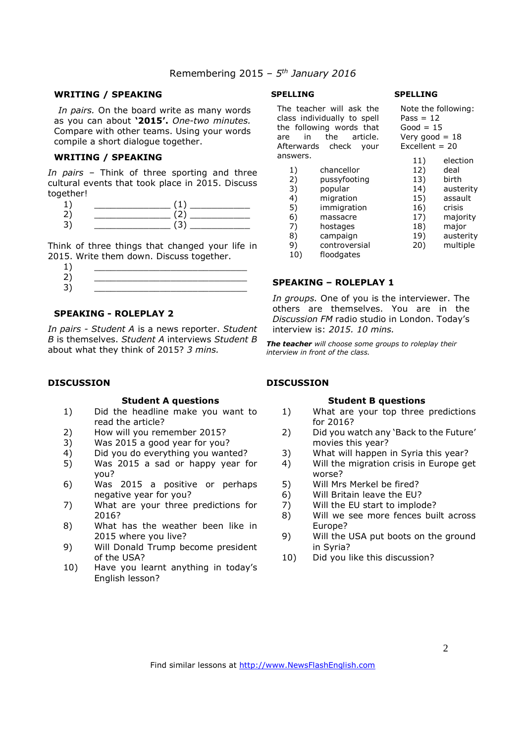# Remembering 2015 *– 5th January 2016*

#### **WRITING / SPEAKING**

*In pairs.* On the board write as many words as you can about **'2015'.** *One-two minutes.*  Compare with other teams. Using your words compile a short dialogue together.

#### **WRITING / SPEAKING**

*In pairs* – Think of three sporting and three cultural events that took place in 2015. Discuss together!

Think of three things that changed your life in 2015. Write them down. Discuss together.

| $\mathbf{1}$ |  |
|--------------|--|
| $\mathsf{2}$ |  |
| 2            |  |
| Э.           |  |

# **SPEAKING - ROLEPLAY 2**

*In pairs - Student A* is a news reporter. *Student B* is themselves. *Student A* interviews *Student B*  about what they think of 2015? *3 mins.* 

#### **DISCUSSION**

#### **Student A questions**

- 1) Did the headline make you want to read the article?
- 2) How will you remember 2015?
- 3) Was 2015 a good year for you?
- 4) Did you do everything you wanted?
- 5) Was 2015 a sad or happy year for you?
- 6) Was 2015 a positive or perhaps negative year for you?
- 7) What are your three predictions for 2016?
- 8) What has the weather been like in 2015 where you live?
- 9) Will Donald Trump become president of the USA?
- 10) Have you learnt anything in today's English lesson?

#### **SPELLING**

The teacher will class individually the following  $w_0$ are in the Afterwards chee answers.

| e teacher will ask the<br>ss individually to spell<br>following words that<br>the<br>article.<br>in<br>erwards check<br>your |               | Note the following:<br>Pass = $12$<br>Good = $15$<br>Very good $= 18$<br>Excellent = $20$ |           |
|------------------------------------------------------------------------------------------------------------------------------|---------------|-------------------------------------------------------------------------------------------|-----------|
| swers.                                                                                                                       |               | 11)                                                                                       | election  |
| 1)                                                                                                                           | chancellor    | 12)                                                                                       | deal      |
| 2)                                                                                                                           | pussyfooting  | 13)                                                                                       | birth     |
| 3)                                                                                                                           | popular       | 14)                                                                                       | austerity |
| 4)                                                                                                                           | migration     | 15)                                                                                       | assault   |
| 5)                                                                                                                           | immigration   | 16)                                                                                       | crisis    |
| 6)                                                                                                                           | massacre      | 17)                                                                                       | majority  |
| 7)                                                                                                                           | hostages      | 18)                                                                                       | major     |
| 8)                                                                                                                           | campaign      | 19)                                                                                       | austerity |
| 9)                                                                                                                           | controversial | 20)                                                                                       | multiple  |
| 10)                                                                                                                          | floodgates    |                                                                                           |           |
|                                                                                                                              |               |                                                                                           |           |

# **SPEAKING – ROLEPLAY 1**

*In groups.* One of you is the interviewer. The others are themselves. You are in the *Discussion FM* radio studio in London. Today's interview is: *2015. 10 mins.*

*The teacher will choose some groups to roleplay their interview in front of the class.* 

# **DISCUSSION**

#### **Student B questions**

- 1) What are your top three predictions for 2016?
- 2) Did you watch any 'Back to the Future' movies this year?
- 3) What will happen in Syria this year?
- 4) Will the migration crisis in Europe get worse?
- 5) Will Mrs Merkel be fired?
- 6) Will Britain leave the EU?
- 7) Will the EU start to implode?
- 8) Will we see more fences built across Europe?
- 9) Will the USA put boots on the ground in Syria?
- 10) Did you like this discussion?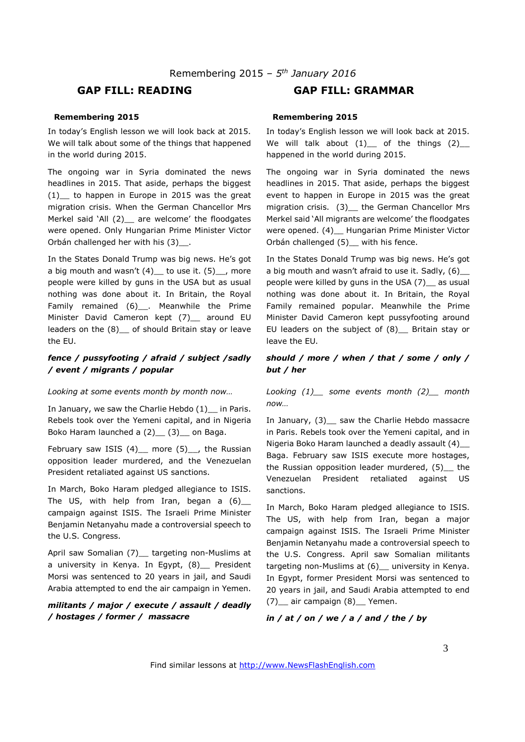# **GAP FILL: READING GAP FILL: GRAMMAR**

#### **Remembering 2015**

In today's English lesson we will look back at 2015. We will talk about some of the things that happened in the world during 2015.

The ongoing war in Syria dominated the news headlines in 2015. That aside, perhaps the biggest  $(1)$  to happen in Europe in 2015 was the great migration crisis. When the German Chancellor Mrs Merkel said 'All (2) are welcome' the floodgates were opened. Only Hungarian Prime Minister Victor Orbán challenged her with his (3) .

In the States Donald Trump was big news. He's got a big mouth and wasn't  $(4)$  to use it.  $(5)$ , more people were killed by guns in the USA but as usual nothing was done about it. In Britain, the Royal Family remained (6) . Meanwhile the Prime Minister David Cameron kept (7) around EU leaders on the (8)\_\_ of should Britain stay or leave the EU.

#### *fence / pussyfooting / afraid / subject /sadly / event / migrants / popular*

#### *Looking at some events month by month now…*

In January, we saw the Charlie Hebdo (1) in Paris. Rebels took over the Yemeni capital, and in Nigeria Boko Haram launched a (2) (3) on Baga.

February saw ISIS  $(4)$  more  $(5)$ , the Russian opposition leader murdered, and the Venezuelan President retaliated against US sanctions.

In March, Boko Haram pledged allegiance to ISIS. The US, with help from Iran, began a  $(6)$ campaign against ISIS. The Israeli Prime Minister Benjamin Netanyahu made a controversial speech to the U.S. Congress.

April saw Somalian (7)\_\_ targeting non-Muslims at a university in Kenya. In Egypt, (8) President Morsi was sentenced to 20 years in jail, and Saudi Arabia attempted to end the air campaign in Yemen.

# *militants / major / execute / assault / deadly / hostages / former / massacre*

#### **Remembering 2015**

In today's English lesson we will look back at 2015. We will talk about  $(1)$  of the things  $(2)$ happened in the world during 2015.

The ongoing war in Syria dominated the news headlines in 2015. That aside, perhaps the biggest event to happen in Europe in 2015 was the great migration crisis. (3) \_ the German Chancellor Mrs Merkel said 'All migrants are welcome' the floodgates were opened. (4) Hungarian Prime Minister Victor Orbán challenged (5) with his fence.

In the States Donald Trump was big news. He's got a big mouth and wasn't afraid to use it. Sadly,  $(6)$ people were killed by guns in the USA (7) as usual nothing was done about it. In Britain, the Royal Family remained popular. Meanwhile the Prime Minister David Cameron kept pussyfooting around EU leaders on the subject of (8)\_\_ Britain stay or leave the EU.

#### *should / more / when / that / some / only / but / her*

*Looking (1)\_\_ some events month (2)\_\_ month now…* 

In January, (3)\_\_ saw the Charlie Hebdo massacre in Paris. Rebels took over the Yemeni capital, and in Nigeria Boko Haram launched a deadly assault (4) Baga. February saw ISIS execute more hostages, the Russian opposition leader murdered, (5) the Venezuelan President retaliated against US sanctions.

In March, Boko Haram pledged allegiance to ISIS. The US, with help from Iran, began a major campaign against ISIS. The Israeli Prime Minister Benjamin Netanyahu made a controversial speech to the U.S. Congress. April saw Somalian militants targeting non-Muslims at (6)\_\_ university in Kenya. In Egypt, former President Morsi was sentenced to 20 years in jail, and Saudi Arabia attempted to end (7) air campaign (8) Yemen.

*in / at / on / we / a / and / the / by*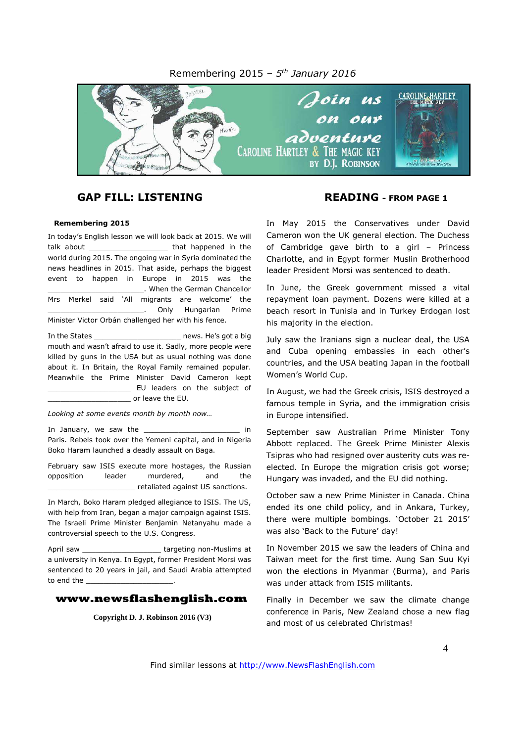#### Remembering 2015 *– 5 th January 2016*



# **GAP FILL: LISTENING READING - FROM PAGE 1**

#### **Remembering 2015**

In today's English lesson we will look back at 2015. We will talk about **that happened** in the world during 2015. The ongoing war in Syria dominated the news headlines in 2015. That aside, perhaps the biggest event to happen in Europe in 2015 was the \_\_\_\_\_\_\_\_\_\_\_\_\_\_\_\_\_\_\_\_\_\_. When the German Chancellor Mrs Merkel said 'All migrants are welcome' the \_\_\_\_\_\_\_\_\_\_\_\_\_\_\_\_\_\_\_\_\_\_. Only Hungarian Prime Minister Victor Orbán challenged her with his fence.

In the States The States and the States and the States and the States are news. He's got a big mouth and wasn't afraid to use it. Sadly, more people were killed by guns in the USA but as usual nothing was done about it. In Britain, the Royal Family remained popular. Meanwhile the Prime Minister David Cameron kept \_\_\_\_\_\_\_\_\_\_\_\_\_\_\_\_\_\_\_ EU leaders on the subject of or leave the EU.

*Looking at some events month by month now…*

In January, we saw the \_\_\_\_\_\_\_\_\_\_\_\_\_\_\_\_\_\_\_\_\_\_ in Paris. Rebels took over the Yemeni capital, and in Nigeria Boko Haram launched a deadly assault on Baga.

February saw ISIS execute more hostages, the Russian opposition leader murdered, and the \_\_\_\_\_\_\_\_\_\_\_\_\_\_\_\_\_\_\_\_ retaliated against US sanctions.

In March, Boko Haram pledged allegiance to ISIS. The US, with help from Iran, began a major campaign against ISIS. The Israeli Prime Minister Benjamin Netanyahu made a controversial speech to the U.S. Congress.

April saw **Example 20** argeting non-Muslims at a university in Kenya. In Egypt, former President Morsi was sentenced to 20 years in jail, and Saudi Arabia attempted to end the

#### **www.newsflashenglish.com**

**Copyright D. J. Robinson 2016 (V3)**

In May 2015 the Conservatives under David Cameron won the UK general election. The Duchess of Cambridge gave birth to a girl – Princess Charlotte, and in Egypt former Muslin Brotherhood leader President Morsi was sentenced to death.

In June, the Greek government missed a vital repayment loan payment. Dozens were killed at a beach resort in Tunisia and in Turkey Erdogan lost his majority in the election.

July saw the Iranians sign a nuclear deal, the USA and Cuba opening embassies in each other's countries, and the USA beating Japan in the football Women's World Cup.

In August, we had the Greek crisis, ISIS destroyed a famous temple in Syria, and the immigration crisis in Europe intensified.

September saw Australian Prime Minister Tony Abbott replaced. The Greek Prime Minister Alexis Tsipras who had resigned over austerity cuts was reelected. In Europe the migration crisis got worse; Hungary was invaded, and the EU did nothing.

October saw a new Prime Minister in Canada. China ended its one child policy, and in Ankara, Turkey, there were multiple bombings. 'October 21 2015' was also 'Back to the Future' day!

In November 2015 we saw the leaders of China and Taiwan meet for the first time. Aung San Suu Kyi won the elections in Myanmar (Burma), and Paris was under attack from ISIS militants.

Finally in December we saw the climate change conference in Paris, New Zealand chose a new flag and most of us celebrated Christmas!

Find similar lessons at http://www.NewsFlashEnglish.com